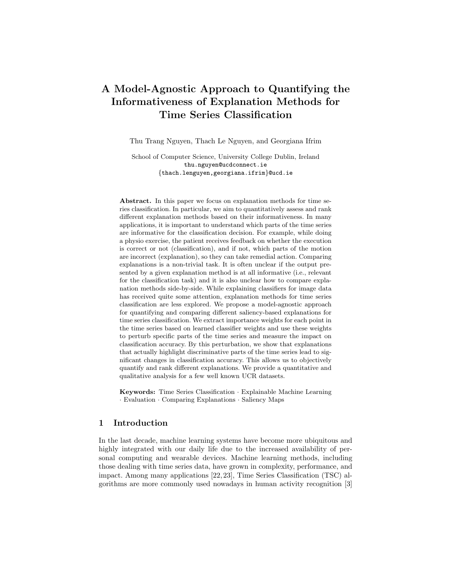# A Model-Agnostic Approach to Quantifying the Informativeness of Explanation Methods for Time Series Classification

Thu Trang Nguyen, Thach Le Nguyen, and Georgiana Ifrim

School of Computer Science, University College Dublin, Ireland thu.nguyen@ucdconnect.ie {thach.lenguyen,georgiana.ifrim}@ucd.ie

Abstract. In this paper we focus on explanation methods for time series classification. In particular, we aim to quantitatively assess and rank different explanation methods based on their informativeness. In many applications, it is important to understand which parts of the time series are informative for the classification decision. For example, while doing a physio exercise, the patient receives feedback on whether the execution is correct or not (classification), and if not, which parts of the motion are incorrect (explanation), so they can take remedial action. Comparing explanations is a non-trivial task. It is often unclear if the output presented by a given explanation method is at all informative (i.e., relevant for the classification task) and it is also unclear how to compare explanation methods side-by-side. While explaining classifiers for image data has received quite some attention, explanation methods for time series classification are less explored. We propose a model-agnostic approach for quantifying and comparing different saliency-based explanations for time series classification. We extract importance weights for each point in the time series based on learned classifier weights and use these weights to perturb specific parts of the time series and measure the impact on classification accuracy. By this perturbation, we show that explanations that actually highlight discriminative parts of the time series lead to significant changes in classification accuracy. This allows us to objectively quantify and rank different explanations. We provide a quantitative and qualitative analysis for a few well known UCR datasets.

Keywords: Time Series Classification · Explainable Machine Learning · Evaluation · Comparing Explanations · Saliency Maps

# 1 Introduction

In the last decade, machine learning systems have become more ubiquitous and highly integrated with our daily life due to the increased availability of personal computing and wearable devices. Machine learning methods, including those dealing with time series data, have grown in complexity, performance, and impact. Among many applications [22, 23], Time Series Classification (TSC) algorithms are more commonly used nowadays in human activity recognition [3]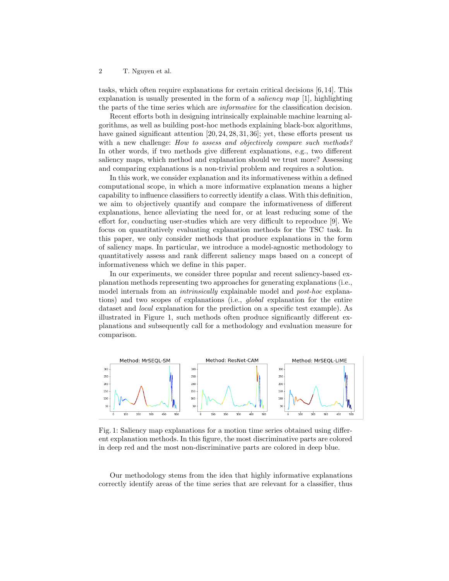tasks, which often require explanations for certain critical decisions [6, 14]. This explanation is usually presented in the form of a *saliency map* [1], highlighting the parts of the time series which are informative for the classification decision.

Recent efforts both in designing intrinsically explainable machine learning algorithms, as well as building post-hoc methods explaining black-box algorithms, have gained significant attention [20, 24, 28, 31, 36]; yet, these efforts present us with a new challenge: How to assess and objectively compare such methods? In other words, if two methods give different explanations, e.g., two different saliency maps, which method and explanation should we trust more? Assessing and comparing explanations is a non-trivial problem and requires a solution.

In this work, we consider explanation and its informativeness within a defined computational scope, in which a more informative explanation means a higher capability to influence classifiers to correctly identify a class. With this definition, we aim to objectively quantify and compare the informativeness of different explanations, hence alleviating the need for, or at least reducing some of the effort for, conducting user-studies which are very difficult to reproduce [9]. We focus on quantitatively evaluating explanation methods for the TSC task. In this paper, we only consider methods that produce explanations in the form of saliency maps. In particular, we introduce a model-agnostic methodology to quantitatively assess and rank different saliency maps based on a concept of informativeness which we define in this paper.

In our experiments, we consider three popular and recent saliency-based explanation methods representing two approaches for generating explanations (i.e., model internals from an *intrinsically* explainable model and *post-hoc* explanations) and two scopes of explanations (i.e., global explanation for the entire dataset and *local* explanation for the prediction on a specific test example). As illustrated in Figure 1, such methods often produce significantly different explanations and subsequently call for a methodology and evaluation measure for comparison.



Fig. 1: Saliency map explanations for a motion time series obtained using different explanation methods. In this figure, the most discriminative parts are colored in deep red and the most non-discriminative parts are colored in deep blue.

Our methodology stems from the idea that highly informative explanations correctly identify areas of the time series that are relevant for a classifier, thus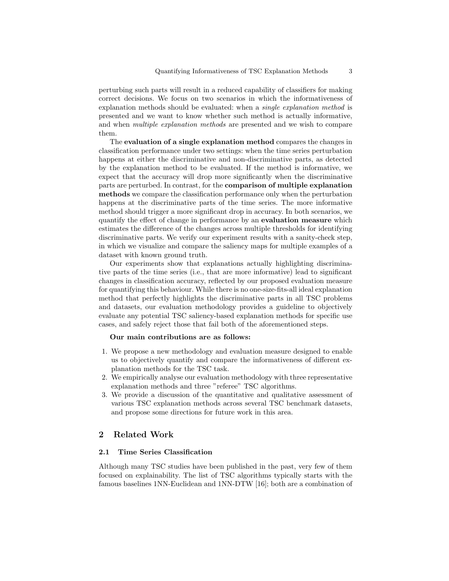perturbing such parts will result in a reduced capability of classifiers for making correct decisions. We focus on two scenarios in which the informativeness of explanation methods should be evaluated: when a *single explanation method* is presented and we want to know whether such method is actually informative, and when multiple explanation methods are presented and we wish to compare them.

The evaluation of a single explanation method compares the changes in classification performance under two settings: when the time series perturbation happens at either the discriminative and non-discriminative parts, as detected by the explanation method to be evaluated. If the method is informative, we expect that the accuracy will drop more significantly when the discriminative parts are perturbed. In contrast, for the comparison of multiple explanation methods we compare the classification performance only when the perturbation happens at the discriminative parts of the time series. The more informative method should trigger a more significant drop in accuracy. In both scenarios, we quantify the effect of change in performance by an evaluation measure which estimates the difference of the changes across multiple thresholds for identifying discriminative parts. We verify our experiment results with a sanity-check step, in which we visualize and compare the saliency maps for multiple examples of a dataset with known ground truth.

Our experiments show that explanations actually highlighting discriminative parts of the time series (i.e., that are more informative) lead to significant changes in classification accuracy, reflected by our proposed evaluation measure for quantifying this behaviour. While there is no one-size-fits-all ideal explanation method that perfectly highlights the discriminative parts in all TSC problems and datasets, our evaluation methodology provides a guideline to objectively evaluate any potential TSC saliency-based explanation methods for specific use cases, and safely reject those that fail both of the aforementioned steps.

#### Our main contributions are as follows:

- 1. We propose a new methodology and evaluation measure designed to enable us to objectively quantify and compare the informativeness of different explanation methods for the TSC task.
- 2. We empirically analyse our evaluation methodology with three representative explanation methods and three "referee" TSC algorithms.
- 3. We provide a discussion of the quantitative and qualitative assessment of various TSC explanation methods across several TSC benchmark datasets, and propose some directions for future work in this area.

## 2 Related Work

## 2.1 Time Series Classification

Although many TSC studies have been published in the past, very few of them focused on explainability. The list of TSC algorithms typically starts with the famous baselines 1NN-Euclidean and 1NN-DTW [16]; both are a combination of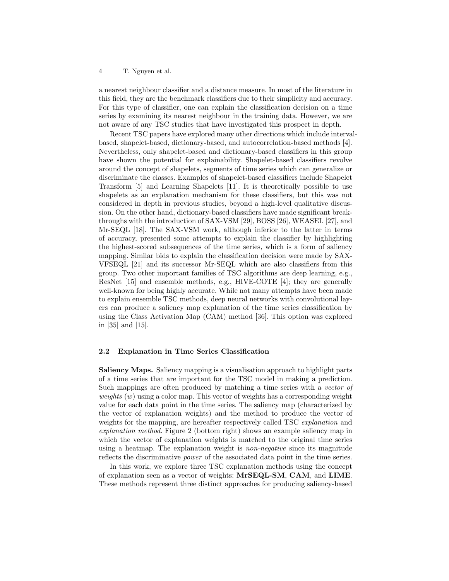a nearest neighbour classifier and a distance measure. In most of the literature in this field, they are the benchmark classifiers due to their simplicity and accuracy. For this type of classifier, one can explain the classification decision on a time series by examining its nearest neighbour in the training data. However, we are not aware of any TSC studies that have investigated this prospect in depth.

Recent TSC papers have explored many other directions which include intervalbased, shapelet-based, dictionary-based, and autocorrelation-based methods [4]. Nevertheless, only shapelet-based and dictionary-based classifiers in this group have shown the potential for explainability. Shapelet-based classifiers revolve around the concept of shapelets, segments of time series which can generalize or discriminate the classes. Examples of shapelet-based classifiers include Shapelet Transform [5] and Learning Shapelets [11]. It is theoretically possible to use shapelets as an explanation mechanism for these classifiers, but this was not considered in depth in previous studies, beyond a high-level qualitative discussion. On the other hand, dictionary-based classifiers have made significant breakthroughs with the introduction of SAX-VSM [29], BOSS [26], WEASEL [27], and Mr-SEQL [18]. The SAX-VSM work, although inferior to the latter in terms of accuracy, presented some attempts to explain the classifier by highlighting the highest-scored subsequences of the time series, which is a form of saliency mapping. Similar bids to explain the classification decision were made by SAX-VFSEQL [21] and its successor Mr-SEQL which are also classifiers from this group. Two other important families of TSC algorithms are deep learning, e.g., ResNet [15] and ensemble methods, e.g., HIVE-COTE [4]; they are generally well-known for being highly accurate. While not many attempts have been made to explain ensemble TSC methods, deep neural networks with convolutional layers can produce a saliency map explanation of the time series classification by using the Class Activation Map (CAM) method [36]. This option was explored in [35] and [15].

#### 2.2 Explanation in Time Series Classification

Saliency Maps. Saliency mapping is a visualisation approach to highlight parts of a time series that are important for the TSC model in making a prediction. Such mappings are often produced by matching a time series with a vector of weights  $(w)$  using a color map. This vector of weights has a corresponding weight value for each data point in the time series. The saliency map (characterized by the vector of explanation weights) and the method to produce the vector of weights for the mapping, are hereafter respectively called TSC explanation and explanation method. Figure 2 (bottom right) shows an example saliency map in which the vector of explanation weights is matched to the original time series using a heatmap. The explanation weight is non-negative since its magnitude reflects the discriminative power of the associated data point in the time series.

In this work, we explore three TSC explanation methods using the concept of explanation seen as a vector of weights: MrSEQL-SM, CAM, and LIME. These methods represent three distinct approaches for producing saliency-based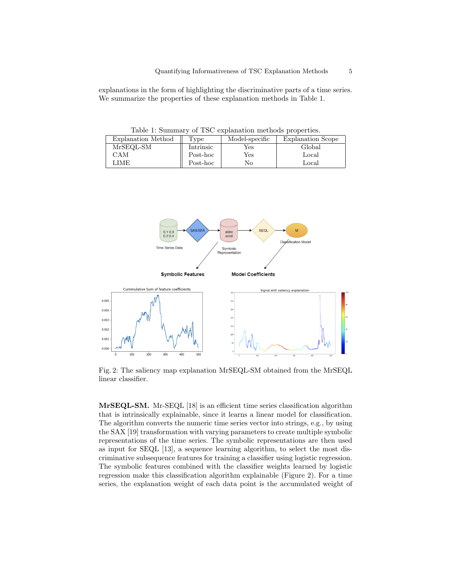explanations in the form of highlighting the discriminative parts of a time series. We summarize the properties of these explanation methods in Table 1.

Table 1: Summary of TSC explanation methods properties. Explanation Method Type Model-specific Explanation Scope MrSEQL-SM Intrinsic Yes Global CAM Post-hoc Yes Local

LIME | Post-hoc | No | Local



Fig. 2: The saliency map explanation MrSEQL-SM obtained from the MrSEQL linear classifier.

MrSEQL-SM. Mr-SEQL [18] is an efficient time series classification algorithm that is intrinsically explainable, since it learns a linear model for classification. The algorithm converts the numeric time series vector into strings, e.g., by using the SAX [19] transformation with varying parameters to create multiple symbolic representations of the time series. The symbolic representations are then used as input for SEQL [13], a sequence learning algorithm, to select the most discriminative subsequence features for training a classifier using logistic regression. The symbolic features combined with the classifier weights learned by logistic regression make this classification algorithm explainable (Figure 2). For a time series, the explanation weight of each data point is the accumulated weight of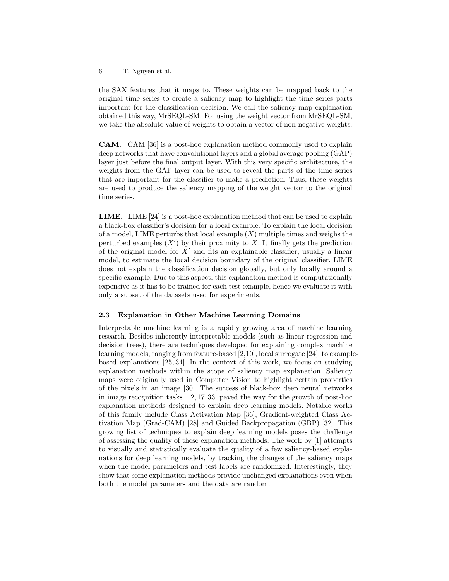the SAX features that it maps to. These weights can be mapped back to the original time series to create a saliency map to highlight the time series parts important for the classification decision. We call the saliency map explanation obtained this way, MrSEQL-SM. For using the weight vector from MrSEQL-SM, we take the absolute value of weights to obtain a vector of non-negative weights.

CAM. CAM [36] is a post-hoc explanation method commonly used to explain deep networks that have convolutional layers and a global average pooling (GAP) layer just before the final output layer. With this very specific architecture, the weights from the GAP layer can be used to reveal the parts of the time series that are important for the classifier to make a prediction. Thus, these weights are used to produce the saliency mapping of the weight vector to the original time series.

LIME. LIME [24] is a post-hoc explanation method that can be used to explain a black-box classifier's decision for a local example. To explain the local decision of a model, LIME perturbs that local example  $(X)$  multiple times and weighs the perturbed examples  $(X')$  by their proximity to X. It finally gets the prediction of the original model for  $X'$  and fits an explainable classifier, usually a linear model, to estimate the local decision boundary of the original classifier. LIME does not explain the classification decision globally, but only locally around a specific example. Due to this aspect, this explanation method is computationally expensive as it has to be trained for each test example, hence we evaluate it with only a subset of the datasets used for experiments.

#### 2.3 Explanation in Other Machine Learning Domains

Interpretable machine learning is a rapidly growing area of machine learning research. Besides inherently interpretable models (such as linear regression and decision trees), there are techniques developed for explaining complex machine learning models, ranging from feature-based [2,10], local surrogate [24], to examplebased explanations [25, 34]. In the context of this work, we focus on studying explanation methods within the scope of saliency map explanation. Saliency maps were originally used in Computer Vision to highlight certain properties of the pixels in an image [30]. The success of black-box deep neural networks in image recognition tasks [12, 17, 33] paved the way for the growth of post-hoc explanation methods designed to explain deep learning models. Notable works of this family include Class Activation Map [36], Gradient-weighted Class Activation Map (Grad-CAM) [28] and Guided Backpropagation (GBP) [32]. This growing list of techniques to explain deep learning models poses the challenge of assessing the quality of these explanation methods. The work by [1] attempts to visually and statistically evaluate the quality of a few saliency-based explanations for deep learning models, by tracking the changes of the saliency maps when the model parameters and test labels are randomized. Interestingly, they show that some explanation methods provide unchanged explanations even when both the model parameters and the data are random.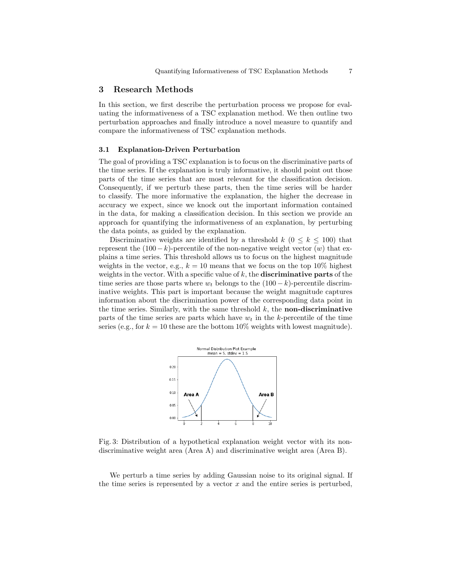## 3 Research Methods

In this section, we first describe the perturbation process we propose for evaluating the informativeness of a TSC explanation method. We then outline two perturbation approaches and finally introduce a novel measure to quantify and compare the informativeness of TSC explanation methods.

#### 3.1 Explanation-Driven Perturbation

The goal of providing a TSC explanation is to focus on the discriminative parts of the time series. If the explanation is truly informative, it should point out those parts of the time series that are most relevant for the classification decision. Consequently, if we perturb these parts, then the time series will be harder to classify. The more informative the explanation, the higher the decrease in accuracy we expect, since we knock out the important information contained in the data, for making a classification decision. In this section we provide an approach for quantifying the informativeness of an explanation, by perturbing the data points, as guided by the explanation.

Discriminative weights are identified by a threshold  $k$  ( $0 \leq k \leq 100$ ) that represent the  $(100 - k)$ -percentile of the non-negative weight vector  $(w)$  that explains a time series. This threshold allows us to focus on the highest magnitude weights in the vector, e.g.,  $k = 10$  means that we focus on the top 10% highest weights in the vector. With a specific value of  $k$ , the **discriminative parts** of the time series are those parts where  $w_t$  belongs to the  $(100 - k)$ -percentile discriminative weights. This part is important because the weight magnitude captures information about the discrimination power of the corresponding data point in the time series. Similarly, with the same threshold  $k$ , the **non-discriminative** parts of the time series are parts which have  $w_t$  in the k-percentile of the time series (e.g., for  $k = 10$  these are the bottom 10% weights with lowest magnitude).



Fig. 3: Distribution of a hypothetical explanation weight vector with its nondiscriminative weight area (Area A) and discriminative weight area (Area B).

We perturb a time series by adding Gaussian noise to its original signal. If the time series is represented by a vector  $x$  and the entire series is perturbed,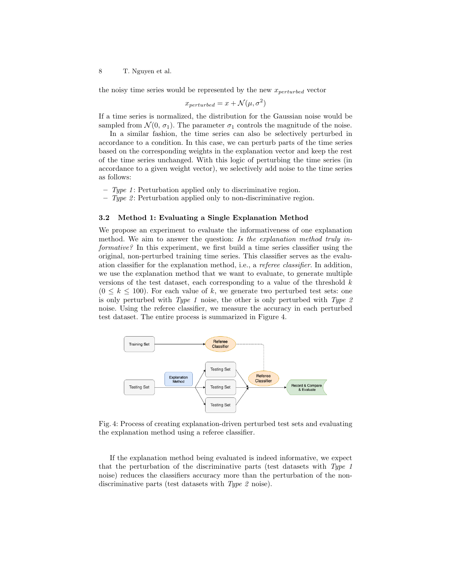the noisy time series would be represented by the new  $x_{perturbed}$  vector

$$
x_{perturbed} = x + \mathcal{N}(\mu, \sigma^2)
$$

If a time series is normalized, the distribution for the Gaussian noise would be sampled from  $\mathcal{N}(0, \sigma_1)$ . The parameter  $\sigma_1$  controls the magnitude of the noise.

In a similar fashion, the time series can also be selectively perturbed in accordance to a condition. In this case, we can perturb parts of the time series based on the corresponding weights in the explanation vector and keep the rest of the time series unchanged. With this logic of perturbing the time series (in accordance to a given weight vector), we selectively add noise to the time series as follows:

– Type 1: Perturbation applied only to discriminative region.

– Type 2: Perturbation applied only to non-discriminative region.

#### 3.2 Method 1: Evaluating a Single Explanation Method

We propose an experiment to evaluate the informativeness of one explanation method. We aim to answer the question: Is the explanation method truly informative? In this experiment, we first build a time series classifier using the original, non-perturbed training time series. This classifier serves as the evaluation classifier for the explanation method, i.e., a referee classifier. In addition, we use the explanation method that we want to evaluate, to generate multiple versions of the test dataset, each corresponding to a value of the threshold  $k$  $(0 \leq k \leq 100)$ . For each value of k, we generate two perturbed test sets: one is only perturbed with Type 1 noise, the other is only perturbed with Type 2 noise. Using the referee classifier, we measure the accuracy in each perturbed test dataset. The entire process is summarized in Figure 4.



Fig. 4: Process of creating explanation-driven perturbed test sets and evaluating the explanation method using a referee classifier.

If the explanation method being evaluated is indeed informative, we expect that the perturbation of the discriminative parts (test datasets with Type 1 noise) reduces the classifiers accuracy more than the perturbation of the nondiscriminative parts (test datasets with *Type 2* noise).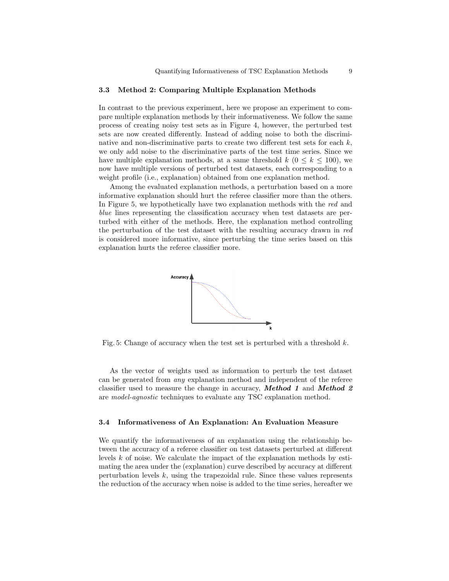#### 3.3 Method 2: Comparing Multiple Explanation Methods

In contrast to the previous experiment, here we propose an experiment to compare multiple explanation methods by their informativeness. We follow the same process of creating noisy test sets as in Figure 4, however, the perturbed test sets are now created differently. Instead of adding noise to both the discriminative and non-discriminative parts to create two different test sets for each  $k$ , we only add noise to the discriminative parts of the test time series. Since we have multiple explanation methods, at a same threshold  $k$  ( $0 \leq k \leq 100$ ), we now have multiple versions of perturbed test datasets, each corresponding to a weight profile (i.e., explanation) obtained from one explanation method.

Among the evaluated explanation methods, a perturbation based on a more informative explanation should hurt the referee classifier more than the others. In Figure 5, we hypothetically have two explanation methods with the red and blue lines representing the classification accuracy when test datasets are perturbed with either of the methods. Here, the explanation method controlling the perturbation of the test dataset with the resulting accuracy drawn in red is considered more informative, since perturbing the time series based on this explanation hurts the referee classifier more.



Fig. 5: Change of accuracy when the test set is perturbed with a threshold  $k$ .

As the vector of weights used as information to perturb the test dataset can be generated from any explanation method and independent of the referee classifier used to measure the change in accuracy, **Method 1** and **Method 2** are model-agnostic techniques to evaluate any TSC explanation method.

#### 3.4 Informativeness of An Explanation: An Evaluation Measure

We quantify the informativeness of an explanation using the relationship between the accuracy of a referee classifier on test datasets perturbed at different levels  $k$  of noise. We calculate the impact of the explanation methods by estimating the area under the (explanation) curve described by accuracy at different perturbation levels  $k$ , using the trapezoidal rule. Since these values represents the reduction of the accuracy when noise is added to the time series, hereafter we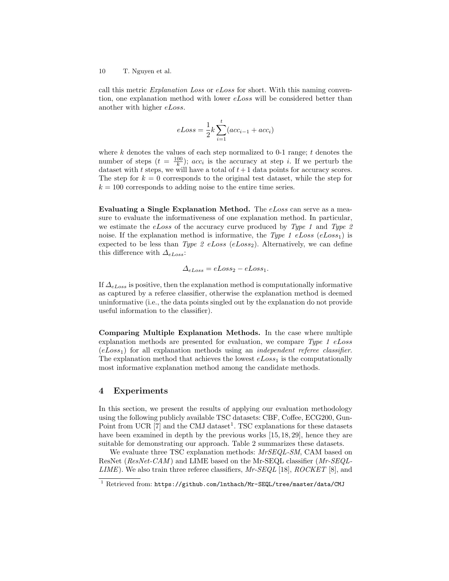call this metric Explanation Loss or eLoss for short. With this naming convention, one explanation method with lower eLoss will be considered better than another with higher eLoss.

$$
eLoss = \frac{1}{2}k\sum_{i=1}^{t}(acc_{i-1} + acc_i)
$$

where  $k$  denotes the values of each step normalized to 0-1 range;  $t$  denotes the number of steps  $(t = \frac{100}{k})$ ; acc<sub>i</sub> is the accuracy at step i. If we perturb the dataset with t steps, we will have a total of  $t+1$  data points for accuracy scores. The step for  $k = 0$  corresponds to the original test dataset, while the step for  $k = 100$  corresponds to adding noise to the entire time series.

Evaluating a Single Explanation Method. The eLoss can serve as a measure to evaluate the informativeness of one explanation method. In particular, we estimate the eLoss of the accuracy curve produced by Type 1 and Type 2 noise. If the explanation method is informative, the Type 1 eLoss (eLoss<sub>1</sub>) is expected to be less than Type 2 eLoss (eLoss<sub>2</sub>). Alternatively, we can define this difference with  $\Delta_{eLoss}$ :

$$
\Delta_{eLoss} = eLoss_2 - eLoss_1.
$$

If  $\Delta_{eLoss}$  is positive, then the explanation method is computationally informative as captured by a referee classifier, otherwise the explanation method is deemed uninformative (i.e., the data points singled out by the explanation do not provide useful information to the classifier).

Comparing Multiple Explanation Methods. In the case where multiple explanation methods are presented for evaluation, we compare  $Type\ 1\ eLoss$  $(eLoss<sub>1</sub>)$  for all explanation methods using an *independent referee classifier*. The explanation method that achieves the lowest  $eLoss<sub>1</sub>$  is the computationally most informative explanation method among the candidate methods.

## 4 Experiments

In this section, we present the results of applying our evaluation methodology using the following publicly available TSC datasets: CBF, Coffee, ECG200, Gun-Point from UCR  $[7]$  and the CMJ dataset<sup>1</sup>. TSC explanations for these datasets have been examined in depth by the previous works [15, 18, 29], hence they are suitable for demonstrating our approach. Table 2 summarizes these datasets.

We evaluate three TSC explanation methods:  $MrSEQL-SM$ , CAM based on ResNet (ResNet-CAM ) and LIME based on the Mr-SEQL classifier (Mr-SEQL- $LIME$ ). We also train three referee classifiers,  $Mr-SEQL$  [18],  $ROCKET$  [8], and

 $^{\rm 1}$  Retrieved from: https://github.com/lnthach/Mr-SEQL/tree/master/data/CMJ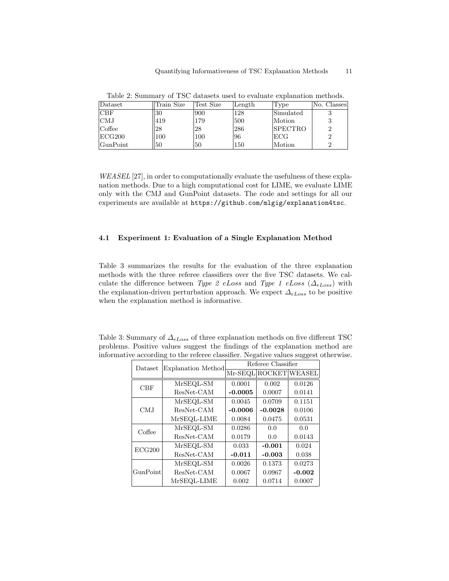| Dataset         | Train Size      | Test Size | Length | Type           | No. Classes |
|-----------------|-----------------|-----------|--------|----------------|-------------|
| <b>CBF</b>      | <sub>1</sub> 30 | 900       | 128    | Simulated      |             |
| CMJ             | 419             | 179       | 500    | Motion         |             |
| Coffee          | 28              | 28        | 286    | <b>SPECTRO</b> |             |
| ECG200          | 100             | 100       | 96     | ECG            |             |
| <b>GunPoint</b> | 150             | 50        | 150    | Motion         |             |
|                 |                 |           |        |                |             |

Table 2: Summary of TSC datasets used to evaluate explanation methods.

WEASEL [27], in order to computationally evaluate the usefulness of these explanation methods. Due to a high computational cost for LIME, we evaluate LIME only with the CMJ and GunPoint datasets. The code and settings for all our experiments are available at https://github.com/mlgig/explanation4tsc.

## 4.1 Experiment 1: Evaluation of a Single Explanation Method

Table 3 summarizes the results for the evaluation of the three explanation methods with the three referee classifiers over the five TSC datasets. We calculate the difference between Type 2 eLoss and Type 1 eLoss ( $\Delta_{eLoss}$ ) with the explanation-driven perturbation approach. We expect  $\Delta_{eLoss}$  to be positive when the explanation method is informative.

Table 3: Summary of  $\Delta_{eLoss}$  of three explanation methods on five different TSC problems. Positive values suggest the findings of the explanation method are informative according to the referee classifier. Negative values suggest otherwise.

| Dataset    | Explanation Method | Referee Classifier |                       |          |  |
|------------|--------------------|--------------------|-----------------------|----------|--|
|            |                    |                    | Mr-SEQL ROCKET WEASEL |          |  |
| <b>CBF</b> | MrSEQL-SM          | 0.0001             | 0.002                 | 0.0126   |  |
|            | ResNet-CAM         | $-0.0005$          | 0.0007                | 0.0141   |  |
| CMJ        | MrSEQL-SM          | 0.0045             | 0.0709                | 0.1151   |  |
|            | ResNet-CAM         | $-0.0006$          | $-0.0028$             | 0.0106   |  |
|            | MrSEQL-LIME        | 0.0084             | 0.0475                | 0.0531   |  |
| Coffee     | MrSEQL-SM          | 0.0286             | 0.0                   | 0.0      |  |
|            | ResNet-CAM         | 0.0179             | 0.0                   | 0.0143   |  |
| ECG200     | MrSEQL-SM          | 0.033              | $-0.001$              | 0.024    |  |
|            | ResNet-CAM         | $-0.011$           | $-0.003$              | 0.038    |  |
| GunPoint   | MrSEQL-SM          | 0.0026             | 0.1373                | 0.0273   |  |
|            | ResNet-CAM         | 0.0067             | 0.0967                | $-0.002$ |  |
|            | MrSEQL-LIME        | 0.002              | 0.0714                | 0.0007   |  |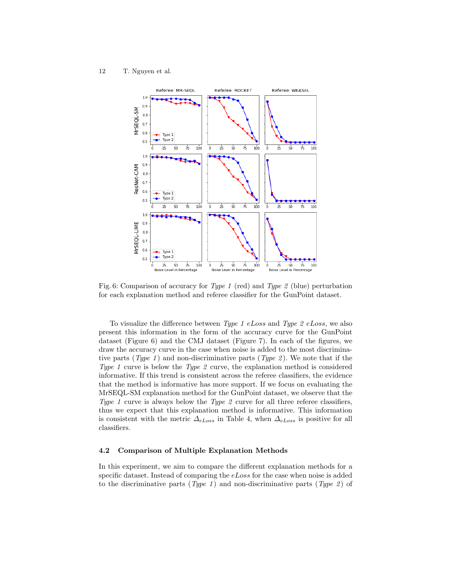12 T. Nguyen et al.



Fig. 6: Comparison of accuracy for Type 1 (red) and Type 2 (blue) perturbation for each explanation method and referee classifier for the GunPoint dataset.

To visualize the difference between *Type 1 eLoss* and *Type 2 eLoss*, we also present this information in the form of the accuracy curve for the GunPoint dataset (Figure 6) and the CMJ dataset (Figure 7). In each of the figures, we draw the accuracy curve in the case when noise is added to the most discriminative parts (*Type 1*) and non-discriminative parts (*Type 2*). We note that if the Type 1 curve is below the Type 2 curve, the explanation method is considered informative. If this trend is consistent across the referee classifiers, the evidence that the method is informative has more support. If we focus on evaluating the MrSEQL-SM explanation method for the GunPoint dataset, we observe that the Type 1 curve is always below the Type 2 curve for all three referee classifiers, thus we expect that this explanation method is informative. This information is consistent with the metric  $\Delta_{eLoss}$  in Table 4, when  $\Delta_{eLoss}$  is positive for all classifiers.

#### 4.2 Comparison of Multiple Explanation Methods

In this experiment, we aim to compare the different explanation methods for a specific dataset. Instead of comparing the *eLoss* for the case when noise is added to the discriminative parts (*Type 1*) and non-discriminative parts (*Type 2*) of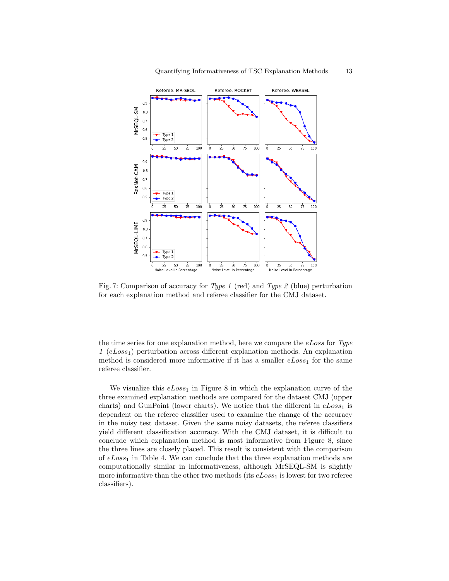

Fig. 7: Comparison of accuracy for Type 1 (red) and Type 2 (blue) perturbation for each explanation method and referee classifier for the CMJ dataset.

the time series for one explanation method, here we compare the eLoss for Type 1 ( $eLoss<sub>1</sub>$ ) perturbation across different explanation methods. An explanation method is considered more informative if it has a smaller  $eLoss<sub>1</sub>$  for the same referee classifier.

We visualize this  $eLoss_1$  in Figure 8 in which the explanation curve of the three examined explanation methods are compared for the dataset CMJ (upper charts) and GunPoint (lower charts). We notice that the different in  $eLoss<sub>1</sub>$  is dependent on the referee classifier used to examine the change of the accuracy in the noisy test dataset. Given the same noisy datasets, the referee classifiers yield different classification accuracy. With the CMJ dataset, it is difficult to conclude which explanation method is most informative from Figure 8, since the three lines are closely placed. This result is consistent with the comparison of  $eLoss<sub>1</sub>$  in Table 4. We can conclude that the three explanation methods are computationally similar in informativeness, although MrSEQL-SM is slightly more informative than the other two methods (its  $eLoss<sub>1</sub>$  is lowest for two referee classifiers).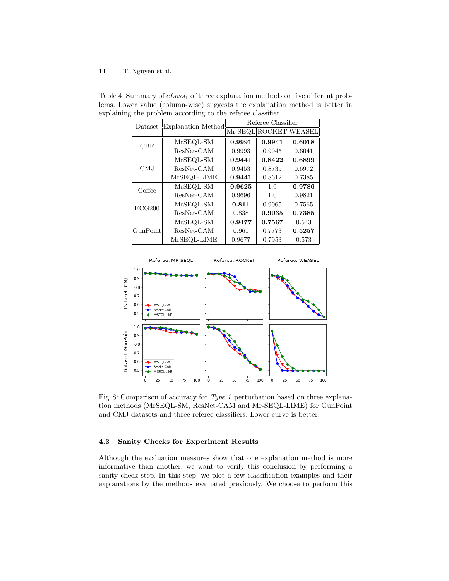| Dataset    | Explanation Method | Referee Classifier |                       |        |  |
|------------|--------------------|--------------------|-----------------------|--------|--|
|            |                    |                    | Mr-SEQL ROCKET WEASEL |        |  |
| <b>CBF</b> | MrSEQL-SM          | 0.9991             | 0.9941                | 0.6018 |  |
|            | ResNet-CAM         | 0.9993             | 0.9945                | 0.6041 |  |
| CMJ        | MrSEQL-SM          | 0.9441             | 0.8422                | 0.6899 |  |
|            | ResNet-CAM         | 0.9453             | 0.8735                | 0.6972 |  |
|            | MrSEQL-LIME        | 0.9441             | 0.8612                | 0.7385 |  |
| Coffee     | MrSEQL-SM          | 0.9625             | 1.0                   | 0.9786 |  |
|            | ResNet-CAM         | 0.9696             | 1.0                   | 0.9821 |  |
| ECG200     | MrSEQL-SM          | 0.811              | 0.9065                | 0.7565 |  |
|            | ResNet-CAM         | 0.838              | 0.9035                | 0.7385 |  |
| GunPoint   | MrSEQL-SM          | 0.9477             | 0.7567                | 0.543  |  |
|            | ResNet-CAM         | 0.961              | 0.7773                | 0.5257 |  |
|            | MrSEQL-LIME        | 0.9677             | 0.7953                | 0.573  |  |

Table 4: Summary of  $eLoss<sub>1</sub>$  of three explanation methods on five different problems. Lower value (column-wise) suggests the explanation method is better in explaining the problem according to the referee classifier.



Fig. 8: Comparison of accuracy for Type 1 perturbation based on three explanation methods (MrSEQL-SM, ResNet-CAM and Mr-SEQL-LIME) for GunPoint and CMJ datasets and three referee classifiers. Lower curve is better.

#### 4.3 Sanity Checks for Experiment Results

Although the evaluation measures show that one explanation method is more informative than another, we want to verify this conclusion by performing a sanity check step. In this step, we plot a few classification examples and their explanations by the methods evaluated previously. We choose to perform this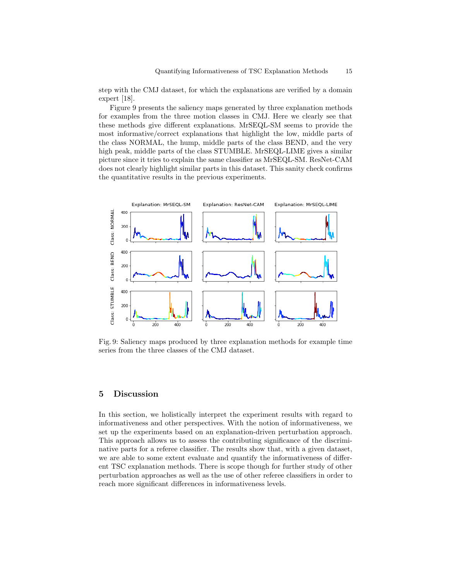step with the CMJ dataset, for which the explanations are verified by a domain expert [18].

Figure 9 presents the saliency maps generated by three explanation methods for examples from the three motion classes in CMJ. Here we clearly see that these methods give different explanations. MrSEQL-SM seems to provide the most informative/correct explanations that highlight the low, middle parts of the class NORMAL, the hump, middle parts of the class BEND, and the very high peak, middle parts of the class STUMBLE. MrSEQL-LIME gives a similar picture since it tries to explain the same classifier as MrSEQL-SM. ResNet-CAM does not clearly highlight similar parts in this dataset. This sanity check confirms the quantitative results in the previous experiments.



Fig. 9: Saliency maps produced by three explanation methods for example time series from the three classes of the CMJ dataset.

## 5 Discussion

In this section, we holistically interpret the experiment results with regard to informativeness and other perspectives. With the notion of informativeness, we set up the experiments based on an explanation-driven perturbation approach. This approach allows us to assess the contributing significance of the discriminative parts for a referee classifier. The results show that, with a given dataset, we are able to some extent evaluate and quantify the informativeness of different TSC explanation methods. There is scope though for further study of other perturbation approaches as well as the use of other referee classifiers in order to reach more significant differences in informativeness levels.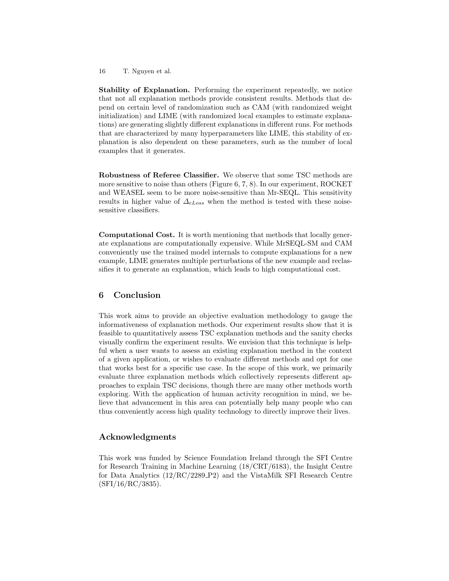Stability of Explanation. Performing the experiment repeatedly, we notice that not all explanation methods provide consistent results. Methods that depend on certain level of randomization such as CAM (with randomized weight initialization) and LIME (with randomized local examples to estimate explanations) are generating slightly different explanations in different runs. For methods that are characterized by many hyperparameters like LIME, this stability of explanation is also dependent on these parameters, such as the number of local examples that it generates.

Robustness of Referee Classifier. We observe that some TSC methods are more sensitive to noise than others (Figure 6, 7, 8). In our experiment, ROCKET and WEASEL seem to be more noise-sensitive than Mr-SEQL. This sensitivity results in higher value of  $\Delta_{eLoss}$  when the method is tested with these noisesensitive classifiers.

Computational Cost. It is worth mentioning that methods that locally generate explanations are computationally expensive. While MrSEQL-SM and CAM conveniently use the trained model internals to compute explanations for a new example, LIME generates multiple perturbations of the new example and reclassifies it to generate an explanation, which leads to high computational cost.

# 6 Conclusion

This work aims to provide an objective evaluation methodology to gauge the informativeness of explanation methods. Our experiment results show that it is feasible to quantitatively assess TSC explanation methods and the sanity checks visually confirm the experiment results. We envision that this technique is helpful when a user wants to assess an existing explanation method in the context of a given application, or wishes to evaluate different methods and opt for one that works best for a specific use case. In the scope of this work, we primarily evaluate three explanation methods which collectively represents different approaches to explain TSC decisions, though there are many other methods worth exploring. With the application of human activity recognition in mind, we believe that advancement in this area can potentially help many people who can thus conveniently access high quality technology to directly improve their lives.

## Acknowledgments

This work was funded by Science Foundation Ireland through the SFI Centre for Research Training in Machine Learning (18/CRT/6183), the Insight Centre for Data Analytics (12/RC/2289 P2) and the VistaMilk SFI Research Centre (SFI/16/RC/3835).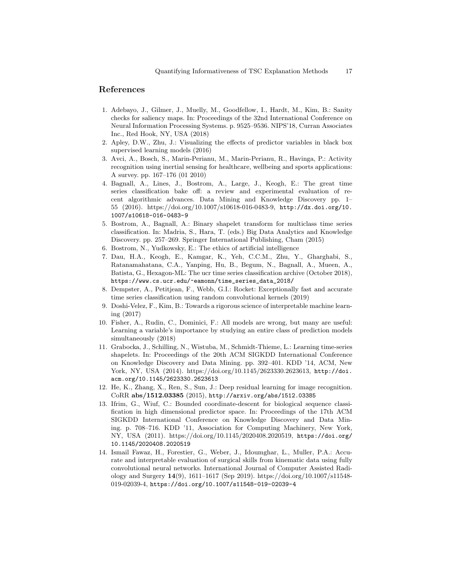## References

- 1. Adebayo, J., Gilmer, J., Muelly, M., Goodfellow, I., Hardt, M., Kim, B.: Sanity checks for saliency maps. In: Proceedings of the 32nd International Conference on Neural Information Processing Systems. p. 9525–9536. NIPS'18, Curran Associates Inc., Red Hook, NY, USA (2018)
- 2. Apley, D.W., Zhu, J.: Visualizing the effects of predictor variables in black box supervised learning models (2016)
- 3. Avci, A., Bosch, S., Marin-Perianu, M., Marin-Perianu, R., Havinga, P.: Activity recognition using inertial sensing for healthcare, wellbeing and sports applications: A survey. pp. 167–176 (01 2010)
- 4. Bagnall, A., Lines, J., Bostrom, A., Large, J., Keogh, E.: The great time series classification bake off: a review and experimental evaluation of recent algorithmic advances. Data Mining and Knowledge Discovery pp. 1– 55 (2016). https://doi.org/10.1007/s10618-016-0483-9, http://dx.doi.org/10. 1007/s10618-016-0483-9
- 5. Bostrom, A., Bagnall, A.: Binary shapelet transform for multiclass time series classification. In: Madria, S., Hara, T. (eds.) Big Data Analytics and Knowledge Discovery. pp. 257–269. Springer International Publishing, Cham (2015)
- 6. Bostrom, N., Yudkowsky, E.: The ethics of artificial intelligence
- 7. Dau, H.A., Keogh, E., Kamgar, K., Yeh, C.C.M., Zhu, Y., Gharghabi, S., Ratanamahatana, C.A., Yanping, Hu, B., Begum, N., Bagnall, A., Mueen, A., Batista, G., Hexagon-ML: The ucr time series classification archive (October 2018), https://www.cs.ucr.edu/~eamonn/time\_series\_data\_2018/
- 8. Dempster, A., Petitjean, F., Webb, G.I.: Rocket: Exceptionally fast and accurate time series classification using random convolutional kernels (2019)
- 9. Doshi-Velez, F., Kim, B.: Towards a rigorous science of interpretable machine learning (2017)
- 10. Fisher, A., Rudin, C., Dominici, F.: All models are wrong, but many are useful: Learning a variable's importance by studying an entire class of prediction models simultaneously (2018)
- 11. Grabocka, J., Schilling, N., Wistuba, M., Schmidt-Thieme, L.: Learning time-series shapelets. In: Proceedings of the 20th ACM SIGKDD International Conference on Knowledge Discovery and Data Mining. pp. 392–401. KDD '14, ACM, New York, NY, USA (2014). https://doi.org/10.1145/2623330.2623613, http://doi. acm.org/10.1145/2623330.2623613
- 12. He, K., Zhang, X., Ren, S., Sun, J.: Deep residual learning for image recognition. CoRR abs/1512.03385 (2015), http://arxiv.org/abs/1512.03385
- 13. Ifrim, G., Wiuf, C.: Bounded coordinate-descent for biological sequence classification in high dimensional predictor space. In: Proceedings of the 17th ACM SIGKDD International Conference on Knowledge Discovery and Data Mining. p. 708–716. KDD '11, Association for Computing Machinery, New York, NY, USA (2011). https://doi.org/10.1145/2020408.2020519, https://doi.org/ 10.1145/2020408.2020519
- 14. Ismail Fawaz, H., Forestier, G., Weber, J., Idoumghar, L., Muller, P.A.: Accurate and interpretable evaluation of surgical skills from kinematic data using fully convolutional neural networks. International Journal of Computer Assisted Radiology and Surgery 14(9), 1611–1617 (Sep 2019). https://doi.org/10.1007/s11548- 019-02039-4, https://doi.org/10.1007/s11548-019-02039-4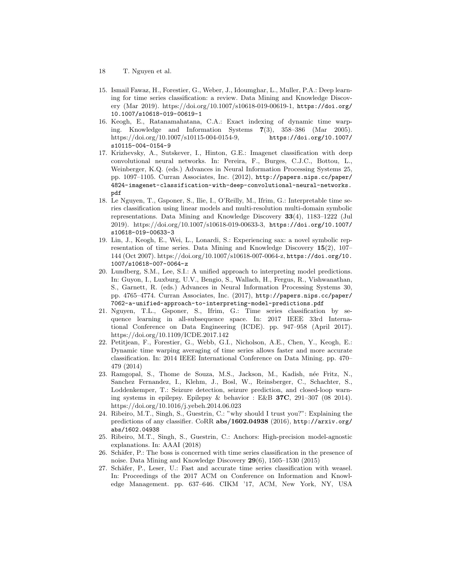- 18 T. Nguyen et al.
- 15. Ismail Fawaz, H., Forestier, G., Weber, J., Idoumghar, L., Muller, P.A.: Deep learning for time series classification: a review. Data Mining and Knowledge Discovery (Mar 2019). https://doi.org/10.1007/s10618-019-00619-1, https://doi.org/ 10.1007/s10618-019-00619-1
- 16. Keogh, E., Ratanamahatana, C.A.: Exact indexing of dynamic time warping. Knowledge and Information Systems 7(3), 358–386 (Mar 2005). https://doi.org/10.1007/s10115-004-0154-9, https://doi.org/10.1007/ s10115-004-0154-9
- 17. Krizhevsky, A., Sutskever, I., Hinton, G.E.: Imagenet classification with deep convolutional neural networks. In: Pereira, F., Burges, C.J.C., Bottou, L., Weinberger, K.Q. (eds.) Advances in Neural Information Processing Systems 25, pp. 1097–1105. Curran Associates, Inc. (2012), http://papers.nips.cc/paper/ 4824-imagenet-classification-with-deep-convolutional-neural-networks. pdf
- 18. Le Nguyen, T., Gsponer, S., Ilie, I., O'Reilly, M., Ifrim, G.: Interpretable time series classification using linear models and multi-resolution multi-domain symbolic representations. Data Mining and Knowledge Discovery 33(4), 1183–1222 (Jul 2019). https://doi.org/10.1007/s10618-019-00633-3, https://doi.org/10.1007/ s10618-019-00633-3
- 19. Lin, J., Keogh, E., Wei, L., Lonardi, S.: Experiencing sax: a novel symbolic representation of time series. Data Mining and Knowledge Discovery 15(2), 107– 144 (Oct 2007). https://doi.org/10.1007/s10618-007-0064-z, https://doi.org/10. 1007/s10618-007-0064-z
- 20. Lundberg, S.M., Lee, S.I.: A unified approach to interpreting model predictions. In: Guyon, I., Luxburg, U.V., Bengio, S., Wallach, H., Fergus, R., Vishwanathan, S., Garnett, R. (eds.) Advances in Neural Information Processing Systems 30, pp. 4765–4774. Curran Associates, Inc. (2017), http://papers.nips.cc/paper/ 7062-a-unified-approach-to-interpreting-model-predictions.pdf
- 21. Nguyen, T.L., Gsponer, S., Ifrim, G.: Time series classification by sequence learning in all-subsequence space. In: 2017 IEEE 33rd International Conference on Data Engineering (ICDE). pp. 947–958 (April 2017). https://doi.org/10.1109/ICDE.2017.142
- 22. Petitjean, F., Forestier, G., Webb, G.I., Nicholson, A.E., Chen, Y., Keogh, E.: Dynamic time warping averaging of time series allows faster and more accurate classification. In: 2014 IEEE International Conference on Data Mining. pp. 470– 479 (2014)
- 23. Ramgopal, S., Thome de Souza, M.S., Jackson, M., Kadish, n´ee Fritz, N., Sanchez Fernandez, I., Klehm, J., Bosl, W., Reinsberger, C., Schachter, S., Loddenkemper, T.: Seizure detection, seizure prediction, and closed-loop warning systems in epilepsy. Epilepsy & behavior : E&B 37C, 291–307 (08 2014). https://doi.org/10.1016/j.yebeh.2014.06.023
- 24. Ribeiro, M.T., Singh, S., Guestrin, C.: "why should I trust you?": Explaining the predictions of any classifier. CoRR abs/1602.04938 (2016), http://arxiv.org/ abs/1602.04938
- 25. Ribeiro, M.T., Singh, S., Guestrin, C.: Anchors: High-precision model-agnostic explanations. In: AAAI (2018)
- 26. Schäfer, P.: The boss is concerned with time series classification in the presence of noise. Data Mining and Knowledge Discovery 29(6), 1505–1530 (2015)
- 27. Schäfer, P., Leser, U.: Fast and accurate time series classification with weasel. In: Proceedings of the 2017 ACM on Conference on Information and Knowledge Management. pp. 637–646. CIKM '17, ACM, New York, NY, USA